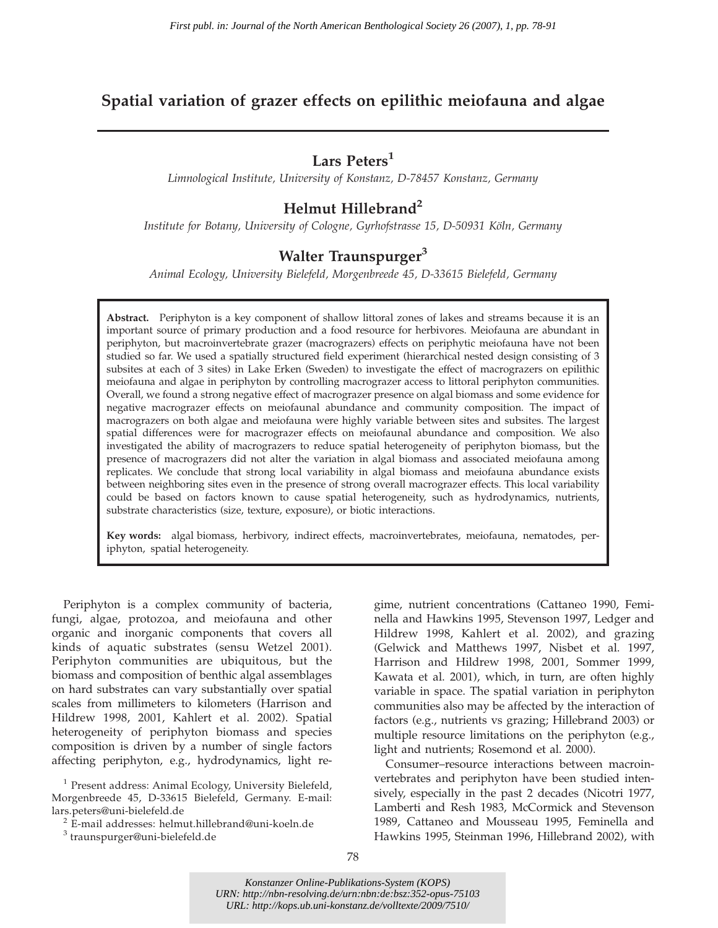# Spatial variation of grazer effects on epilithic meiofauna and algae

# Lars Peters<sup>1</sup>

Limnological Institute, University of Konstanz, D-78457 Konstanz, Germany

## Helmut Hillebrand<sup>2</sup>

Institute for Botany, University of Cologne, Gyrhofstrasse 15, D-50931 Köln, Germany

# Walter Traunspurger<sup>3</sup>

Animal Ecology, University Bielefeld, Morgenbreede 45, D-33615 Bielefeld, Germany

Abstract. Periphyton is a key component of shallow littoral zones of lakes and streams because it is an important source of primary production and a food resource for herbivores. Meiofauna are abundant in periphyton, but macroinvertebrate grazer (macrograzers) effects on periphytic meiofauna have not been studied so far. We used a spatially structured field experiment (hierarchical nested design consisting of 3 subsites at each of 3 sites) in Lake Erken (Sweden) to investigate the effect of macrograzers on epilithic meiofauna and algae in periphyton by controlling macrograzer access to littoral periphyton communities. Overall, we found a strong negative effect of macrograzer presence on algal biomass and some evidence for negative macrograzer effects on meiofaunal abundance and community composition. The impact of macrograzers on both algae and meiofauna were highly variable between sites and subsites. The largest spatial differences were for macrograzer effects on meiofaunal abundance and composition. We also investigated the ability of macrograzers to reduce spatial heterogeneity of periphyton biomass, but the presence of macrograzers did not alter the variation in algal biomass and associated meiofauna among replicates. We conclude that strong local variability in algal biomass and meiofauna abundance exists between neighboring sites even in the presence of strong overall macrograzer effects. This local variability could be based on factors known to cause spatial heterogeneity, such as hydrodynamics, nutrients, substrate characteristics (size, texture, exposure), or biotic interactions.

Key words: algal biomass, herbivory, indirect effects, macroinvertebrates, meiofauna, nematodes, periphyton, spatial heterogeneity.

Periphyton is a complex community of bacteria, fungi, algae, protozoa, and meiofauna and other organic and inorganic components that covers all kinds of aquatic substrates (sensu Wetzel 2001). Periphyton communities are ubiquitous, but the biomass and composition of benthic algal assemblages on hard substrates can vary substantially over spatial scales from millimeters to kilometers (Harrison and Hildrew 1998, 2001, Kahlert et al. 2002). Spatial heterogeneity of periphyton biomass and species composition is driven by a number of single factors affecting periphyton, e.g., hydrodynamics, light regime, nutrient concentrations (Cattaneo 1990, Feminella and Hawkins 1995, Stevenson 1997, Ledger and Hildrew 1998, Kahlert et al. 2002), and grazing (Gelwick and Matthews 1997, Nisbet et al. 1997, Harrison and Hildrew 1998, 2001, Sommer 1999, Kawata et al. 2001), which, in turn, are often highly variable in space. The spatial variation in periphyton communities also may be affected by the interaction of factors (e.g., nutrients vs grazing; Hillebrand 2003) or multiple resource limitations on the periphyton (e.g., light and nutrients; Rosemond et al. 2000).

Consumer–resource interactions between macroinvertebrates and periphyton have been studied intensively, especially in the past 2 decades (Nicotri 1977, Lamberti and Resh 1983, McCormick and Stevenson 1989, Cattaneo and Mousseau 1995, Feminella and Hawkins 1995, Steinman 1996, Hillebrand 2002), with

*Konstanzer Online-Publikations-System (KOPS) URN:<http://nbn-resolving.de/urn:nbn:de:bsz:352-opus-75103> URL:<http://kops.ub.uni-konstanz.de/volltexte/2009/7510/>*

 $1$  Present address: Animal Ecology, University Bielefeld, Morgenbreede 45, D-33615 Bielefeld, Germany. E-mail:

<sup>&</sup>lt;sup>2</sup> E-mail addresses: helmut.hillebrand@uni-koeln.de <sup>3</sup> traunspurger@uni-bielefeld.de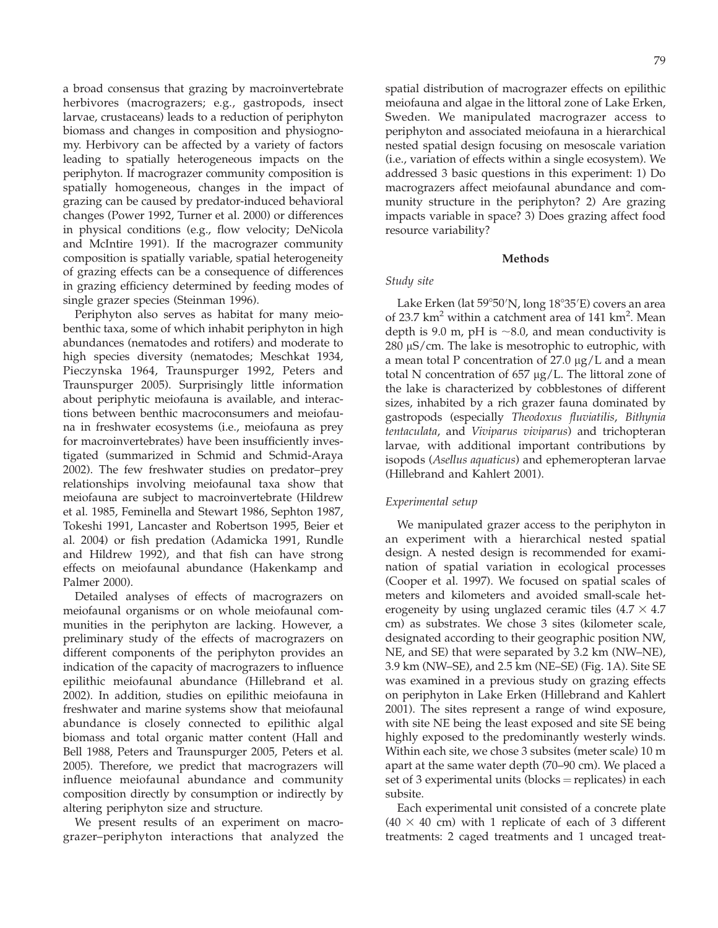a broad consensus that grazing by macroinvertebrate herbivores (macrograzers; e.g., gastropods, insect larvae, crustaceans) leads to a reduction of periphyton biomass and changes in composition and physiognomy. Herbivory can be affected by a variety of factors leading to spatially heterogeneous impacts on the periphyton. If macrograzer community composition is spatially homogeneous, changes in the impact of grazing can be caused by predator-induced behavioral changes (Power 1992, Turner et al. 2000) or differences in physical conditions (e.g., flow velocity; DeNicola and McIntire 1991). If the macrograzer community composition is spatially variable, spatial heterogeneity of grazing effects can be a consequence of differences in grazing efficiency determined by feeding modes of single grazer species (Steinman 1996).

Periphyton also serves as habitat for many meiobenthic taxa, some of which inhabit periphyton in high abundances (nematodes and rotifers) and moderate to high species diversity (nematodes; Meschkat 1934, Pieczynska 1964, Traunspurger 1992, Peters and Traunspurger 2005). Surprisingly little information about periphytic meiofauna is available, and interactions between benthic macroconsumers and meiofauna in freshwater ecosystems (i.e., meiofauna as prey for macroinvertebrates) have been insufficiently investigated (summarized in Schmid and Schmid-Araya 2002). The few freshwater studies on predator–prey relationships involving meiofaunal taxa show that meiofauna are subject to macroinvertebrate (Hildrew et al. 1985, Feminella and Stewart 1986, Sephton 1987, Tokeshi 1991, Lancaster and Robertson 1995, Beier et al. 2004) or fish predation (Adamicka 1991, Rundle and Hildrew 1992), and that fish can have strong effects on meiofaunal abundance (Hakenkamp and Palmer 2000).

Detailed analyses of effects of macrograzers on meiofaunal organisms or on whole meiofaunal communities in the periphyton are lacking. However, a preliminary study of the effects of macrograzers on different components of the periphyton provides an indication of the capacity of macrograzers to influence epilithic meiofaunal abundance (Hillebrand et al. 2002). In addition, studies on epilithic meiofauna in freshwater and marine systems show that meiofaunal abundance is closely connected to epilithic algal biomass and total organic matter content (Hall and Bell 1988, Peters and Traunspurger 2005, Peters et al. 2005). Therefore, we predict that macrograzers will influence meiofaunal abundance and community composition directly by consumption or indirectly by altering periphyton size and structure.

We present results of an experiment on macrograzer–periphyton interactions that analyzed the spatial distribution of macrograzer effects on epilithic meiofauna and algae in the littoral zone of Lake Erken, Sweden. We manipulated macrograzer access to periphyton and associated meiofauna in a hierarchical nested spatial design focusing on mesoscale variation (i.e., variation of effects within a single ecosystem). We addressed 3 basic questions in this experiment: 1) Do macrograzers affect meiofaunal abundance and community structure in the periphyton? 2) Are grazing impacts variable in space? 3) Does grazing affect food resource variability?

### Methods

#### Study site

Lake Erken (lat 59°50′N, long 18°35′E) covers an area of 23.7 km<sup>2</sup> within a catchment area of 141 km<sup>2</sup>. Mean depth is 9.0 m, pH is  $\sim$ 8.0, and mean conductivity is  $280 \mu S/cm$ . The lake is mesotrophic to eutrophic, with a mean total P concentration of  $27.0 \mu g/L$  and a mean total N concentration of  $657 \mu g/L$ . The littoral zone of the lake is characterized by cobblestones of different sizes, inhabited by a rich grazer fauna dominated by gastropods (especially Theodoxus fluviatilis, Bithynia tentaculata, and Viviparus viviparus) and trichopteran larvae, with additional important contributions by isopods (Asellus aquaticus) and ephemeropteran larvae (Hillebrand and Kahlert 2001).

#### Experimental setup

We manipulated grazer access to the periphyton in an experiment with a hierarchical nested spatial design. A nested design is recommended for examination of spatial variation in ecological processes (Cooper et al. 1997). We focused on spatial scales of meters and kilometers and avoided small-scale heterogeneity by using unglazed ceramic tiles  $(4.7 \times 4.7)$ cm) as substrates. We chose 3 sites (kilometer scale, designated according to their geographic position NW, NE, and SE) that were separated by 3.2 km (NW–NE), 3.9 km (NW–SE), and 2.5 km (NE–SE) (Fig. 1A). Site SE was examined in a previous study on grazing effects on periphyton in Lake Erken (Hillebrand and Kahlert 2001). The sites represent a range of wind exposure, with site NE being the least exposed and site SE being highly exposed to the predominantly westerly winds. Within each site, we chose 3 subsites (meter scale) 10 m apart at the same water depth (70–90 cm). We placed a set of 3 experimental units  $(blocks = replicates)$  in each subsite.

Each experimental unit consisted of a concrete plate  $(40 \times 40$  cm) with 1 replicate of each of 3 different treatments: 2 caged treatments and 1 uncaged treat-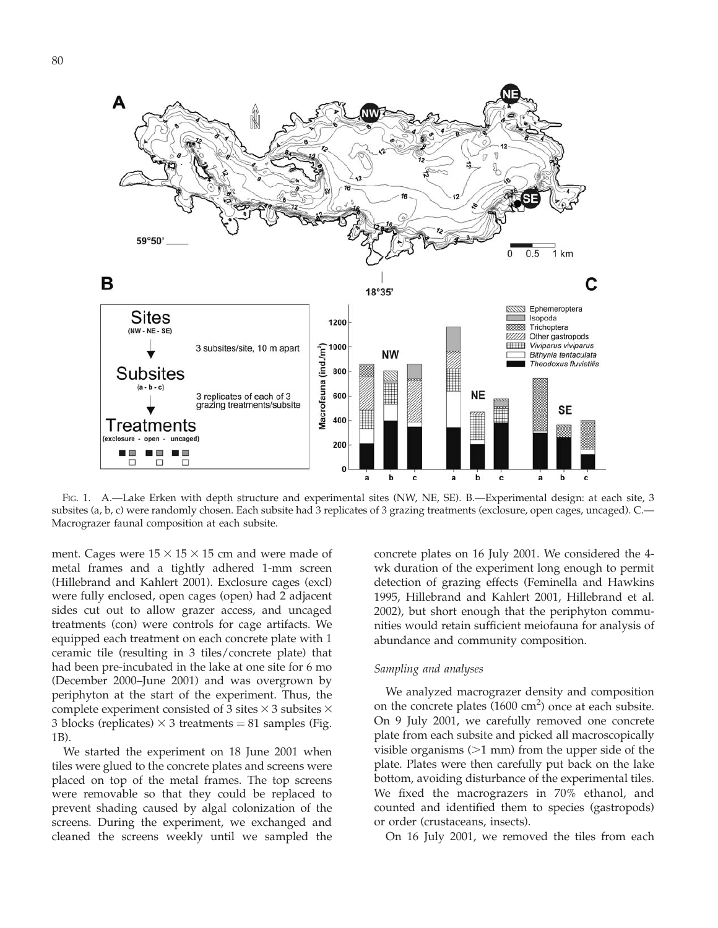

FIG. 1. A.—Lake Erken with depth structure and experimental sites (NW, NE, SE). B.—Experimental design: at each site, 3 subsites (a, b, c) were randomly chosen. Each subsite had 3 replicates of 3 grazing treatments (exclosure, open cages, uncaged). C.— Macrograzer faunal composition at each subsite.

ment. Cages were  $15 \times 15 \times 15$  cm and were made of metal frames and a tightly adhered 1-mm screen (Hillebrand and Kahlert 2001). Exclosure cages (excl) were fully enclosed, open cages (open) had 2 adjacent sides cut out to allow grazer access, and uncaged treatments (con) were controls for cage artifacts. We equipped each treatment on each concrete plate with 1 ceramic tile (resulting in 3 tiles/concrete plate) that had been pre-incubated in the lake at one site for 6 mo (December 2000–June 2001) and was overgrown by periphyton at the start of the experiment. Thus, the complete experiment consisted of 3 sites  $\times$  3 subsites  $\times$ 3 blocks (replicates)  $\times$  3 treatments = 81 samples (Fig. 1B).

We started the experiment on 18 June 2001 when tiles were glued to the concrete plates and screens were placed on top of the metal frames. The top screens were removable so that they could be replaced to prevent shading caused by algal colonization of the screens. During the experiment, we exchanged and cleaned the screens weekly until we sampled the concrete plates on 16 July 2001. We considered the 4 wk duration of the experiment long enough to permit detection of grazing effects (Feminella and Hawkins 1995, Hillebrand and Kahlert 2001, Hillebrand et al. 2002), but short enough that the periphyton communities would retain sufficient meiofauna for analysis of abundance and community composition.

### Sampling and analyses

We analyzed macrograzer density and composition on the concrete plates (1600 cm<sup>2</sup>) once at each subsite. On 9 July 2001, we carefully removed one concrete plate from each subsite and picked all macroscopically visible organisms  $(>1$  mm) from the upper side of the plate. Plates were then carefully put back on the lake bottom, avoiding disturbance of the experimental tiles. We fixed the macrograzers in 70% ethanol, and counted and identified them to species (gastropods) or order (crustaceans, insects).

On 16 July 2001, we removed the tiles from each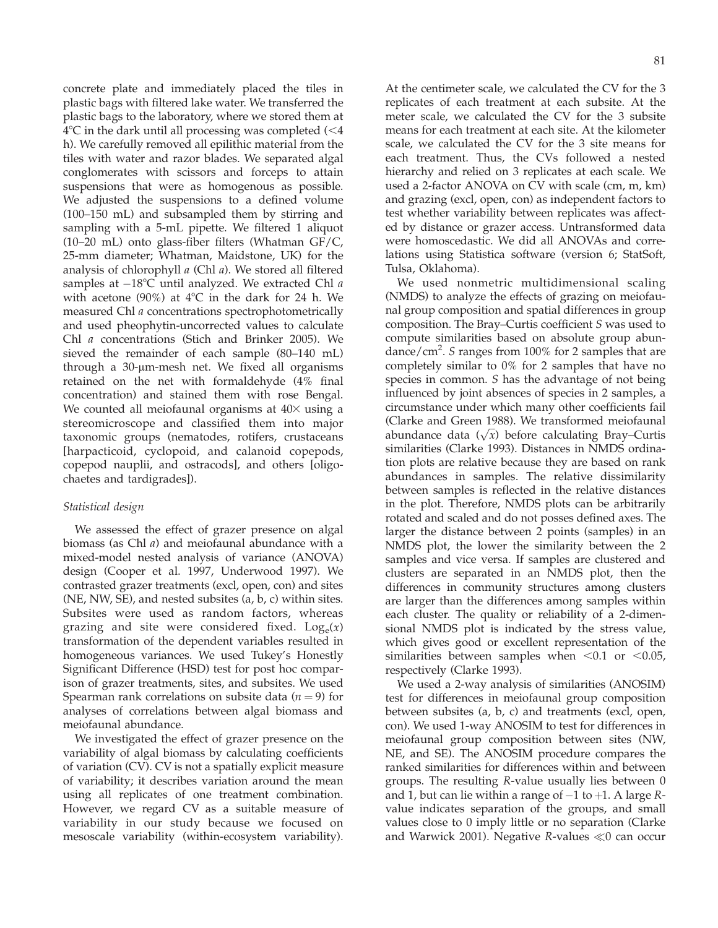$2007$  GRAZER EFFECTS ON MEIOFAUNA AND ALGAE 81

concrete plate and immediately placed the tiles in plastic bags with filtered lake water. We transferred the plastic bags to the laboratory, where we stored them at  $4^{\circ}$ C in the dark until all processing was completed (<4 h). We carefully removed all epilithic material from the tiles with water and razor blades. We separated algal conglomerates with scissors and forceps to attain suspensions that were as homogenous as possible. We adjusted the suspensions to a defined volume (100–150 mL) and subsampled them by stirring and sampling with a 5-mL pipette. We filtered 1 aliquot (10–20 mL) onto glass-fiber filters (Whatman GF/C, 25-mm diameter; Whatman, Maidstone, UK) for the analysis of chlorophyll a (Chl a). We stored all filtered samples at  $-18^{\circ}$ C until analyzed. We extracted Chl a with acetone (90%) at  $4^{\circ}$ C in the dark for 24 h. We measured Chl a concentrations spectrophotometrically and used pheophytin-uncorrected values to calculate Chl a concentrations (Stich and Brinker 2005). We sieved the remainder of each sample (80–140 mL) through a  $30$ - $\mu$ m-mesh net. We fixed all organisms retained on the net with formaldehyde (4% final concentration) and stained them with rose Bengal. We counted all meiofaunal organisms at  $40\times$  using a stereomicroscope and classified them into major taxonomic groups (nematodes, rotifers, crustaceans [harpacticoid, cyclopoid, and calanoid copepods, copepod nauplii, and ostracods], and others [oligochaetes and tardigrades]).

## Statistical design

We assessed the effect of grazer presence on algal biomass (as Chl a) and meiofaunal abundance with a mixed-model nested analysis of variance (ANOVA) design (Cooper et al. 1997, Underwood 1997). We contrasted grazer treatments (excl, open, con) and sites (NE, NW, SE), and nested subsites (a, b, c) within sites. Subsites were used as random factors, whereas grazing and site were considered fixed.  $Log_e(x)$ transformation of the dependent variables resulted in homogeneous variances. We used Tukey's Honestly Significant Difference (HSD) test for post hoc comparison of grazer treatments, sites, and subsites. We used Spearman rank correlations on subsite data ( $n = 9$ ) for analyses of correlations between algal biomass and meiofaunal abundance.

We investigated the effect of grazer presence on the variability of algal biomass by calculating coefficients of variation (CV). CV is not a spatially explicit measure of variability; it describes variation around the mean using all replicates of one treatment combination. However, we regard CV as a suitable measure of variability in our study because we focused on mesoscale variability (within-ecosystem variability). At the centimeter scale, we calculated the CV for the 3 replicates of each treatment at each subsite. At the meter scale, we calculated the CV for the 3 subsite means for each treatment at each site. At the kilometer scale, we calculated the CV for the 3 site means for each treatment. Thus, the CVs followed a nested hierarchy and relied on 3 replicates at each scale. We used a 2-factor ANOVA on CV with scale (cm, m, km) and grazing (excl, open, con) as independent factors to test whether variability between replicates was affected by distance or grazer access. Untransformed data were homoscedastic. We did all ANOVAs and correlations using Statistica software (version 6; StatSoft, Tulsa, Oklahoma).

We used nonmetric multidimensional scaling (NMDS) to analyze the effects of grazing on meiofaunal group composition and spatial differences in group composition. The Bray–Curtis coefficient S was used to compute similarities based on absolute group abundance/cm<sup>2</sup> . S ranges from 100% for 2 samples that are completely similar to 0% for 2 samples that have no species in common. *S* has the advantage of not being influenced by joint absences of species in 2 samples, a circumstance under which many other coefficients fail (Clarke and Green 1988). We transformed meiofaunal Utarke and Green 1966). We transformed metolaurial<br>abundance data  $(\sqrt{x})$  before calculating Bray–Curtis similarities (Clarke 1993). Distances in NMDS ordination plots are relative because they are based on rank abundances in samples. The relative dissimilarity between samples is reflected in the relative distances in the plot. Therefore, NMDS plots can be arbitrarily rotated and scaled and do not posses defined axes. The larger the distance between 2 points (samples) in an NMDS plot, the lower the similarity between the 2 samples and vice versa. If samples are clustered and clusters are separated in an NMDS plot, then the differences in community structures among clusters are larger than the differences among samples within each cluster. The quality or reliability of a 2-dimensional NMDS plot is indicated by the stress value, which gives good or excellent representation of the similarities between samples when  $< 0.1$  or  $< 0.05$ , respectively (Clarke 1993).

We used a 2-way analysis of similarities (ANOSIM) test for differences in meiofaunal group composition between subsites (a, b, c) and treatments (excl, open, con). We used 1-way ANOSIM to test for differences in meiofaunal group composition between sites (NW, NE, and SE). The ANOSIM procedure compares the ranked similarities for differences within and between groups. The resulting R-value usually lies between 0 and 1, but can lie within a range of  $-1$  to  $+1$ . A large Rvalue indicates separation of the groups, and small values close to 0 imply little or no separation (Clarke and Warwick 2001). Negative R-values  $\ll$ 0 can occur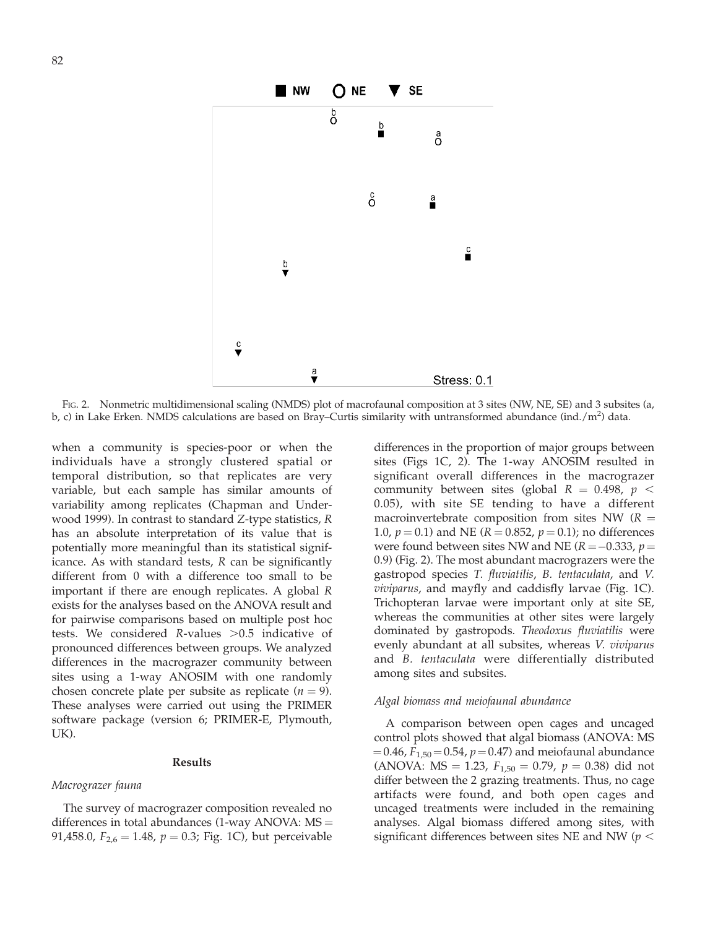

FIG. 2. Nonmetric multidimensional scaling (NMDS) plot of macrofaunal composition at 3 sites (NW, NE, SE) and 3 subsites (a, b, c) in Lake Erken. NMDS calculations are based on Bray–Curtis similarity with untransformed abundance (ind./m<sup>2</sup>) data.

when a community is species-poor or when the individuals have a strongly clustered spatial or temporal distribution, so that replicates are very variable, but each sample has similar amounts of variability among replicates (Chapman and Underwood 1999). In contrast to standard Z-type statistics, R has an absolute interpretation of its value that is potentially more meaningful than its statistical significance. As with standard tests, R can be significantly different from 0 with a difference too small to be important if there are enough replicates. A global R exists for the analyses based on the ANOVA result and for pairwise comparisons based on multiple post hoc tests. We considered R-values  $>0.5$  indicative of pronounced differences between groups. We analyzed differences in the macrograzer community between sites using a 1-way ANOSIM with one randomly chosen concrete plate per subsite as replicate ( $n = 9$ ). These analyses were carried out using the PRIMER software package (version 6; PRIMER-E, Plymouth, UK).

### Results

#### Macrograzer fauna

The survey of macrograzer composition revealed no differences in total abundances  $(1$ -way ANOVA: MS = 91,458.0,  $F_{2,6} = 1.48$ ,  $p = 0.3$ ; Fig. 1C), but perceivable differences in the proportion of major groups between sites (Figs 1C, 2). The 1-way ANOSIM resulted in significant overall differences in the macrograzer community between sites (global  $R = 0.498$ ,  $p <$ 0.05), with site SE tending to have a different macroinvertebrate composition from sites NW  $(R =$ 1.0,  $p = 0.1$ ) and NE ( $R = 0.852$ ,  $p = 0.1$ ); no differences were found between sites NW and NE ( $R = -0.333$ ,  $p =$ 0.9) (Fig. 2). The most abundant macrograzers were the gastropod species T. fluviatilis, B. tentaculata, and V. viviparus, and mayfly and caddisfly larvae (Fig. 1C). Trichopteran larvae were important only at site SE, whereas the communities at other sites were largely dominated by gastropods. Theodoxus fluviatilis were evenly abundant at all subsites, whereas V. viviparus and B. tentaculata were differentially distributed among sites and subsites.

#### Algal biomass and meiofaunal abundance

A comparison between open cages and uncaged control plots showed that algal biomass (ANOVA: MS  $=0.46$ ,  $F_{1,50}$  = 0.54,  $p$  = 0.47) and meiofaunal abundance (ANOVA: MS = 1.23,  $F_{1,50} = 0.79$ ,  $p = 0.38$ ) did not differ between the 2 grazing treatments. Thus, no cage artifacts were found, and both open cages and uncaged treatments were included in the remaining analyses. Algal biomass differed among sites, with significant differences between sites NE and NW ( $p <$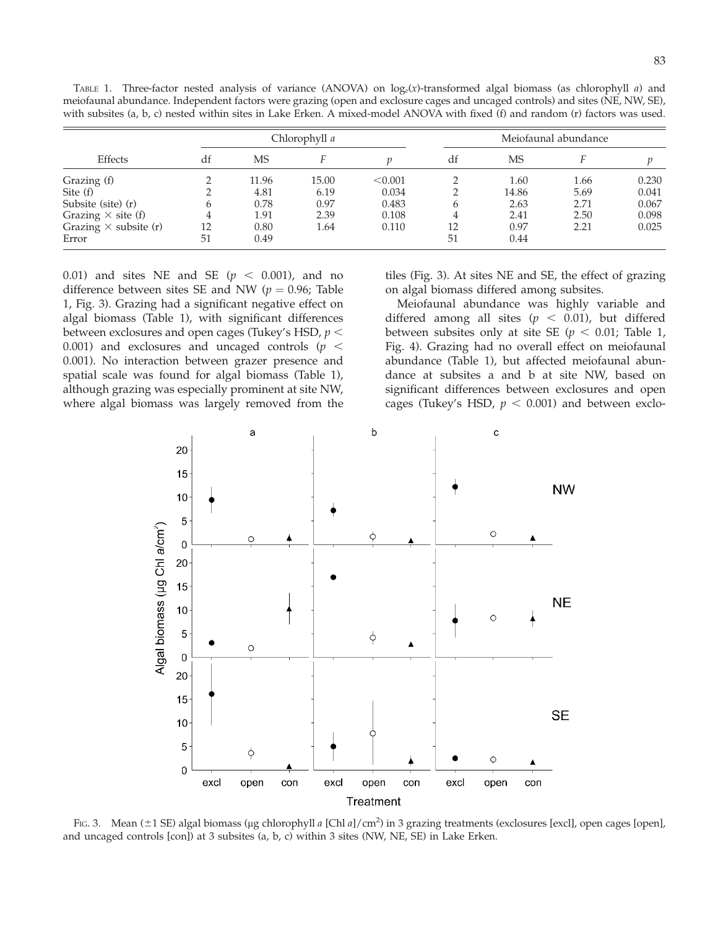| <b>Effects</b>               | Chlorophyll a |       |       |         | Meiofaunal abundance |       |      |       |
|------------------------------|---------------|-------|-------|---------|----------------------|-------|------|-------|
|                              | df            | MS    |       |         | df                   | MS    |      |       |
| Grazing (f)                  |               | 11.96 | 15.00 | < 0.001 |                      | 1.60  | 1.66 | 0.230 |
| Site (f)                     |               | 4.81  | 6.19  | 0.034   |                      | 14.86 | 5.69 | 0.041 |
| Subsite (site) (r)           | h             | 0.78  | 0.97  | 0.483   | h                    | 2.63  | 2.71 | 0.067 |
| Grazing $\times$ site (f)    |               | 1.91  | 2.39  | 0.108   |                      | 2.41  | 2.50 | 0.098 |
| Grazing $\times$ subsite (r) | 12            | 0.80  | 1.64  | 0.110   | 12                   | 0.97  | 2.21 | 0.025 |
| Error                        | 51            | 0.49  |       |         | 51                   | 0.44  |      |       |

TABLE 1. Three-factor nested analysis of variance (ANOVA) on  $log_e(x)$ -transformed algal biomass (as chlorophyll a) and meiofaunal abundance. Independent factors were grazing (open and exclosure cages and uncaged controls) and sites (NE, NW, SE), with subsites (a, b, c) nested within sites in Lake Erken. A mixed-model ANOVA with fixed (f) and random (r) factors was used.

0.01) and sites NE and SE ( $p < 0.001$ ), and no difference between sites SE and NW ( $p = 0.96$ ; Table 1, Fig. 3). Grazing had a significant negative effect on algal biomass (Table 1), with significant differences between exclosures and open cages (Tukey's HSD,  $p <$ 0.001) and exclosures and uncaged controls ( $p <$ 0.001). No interaction between grazer presence and spatial scale was found for algal biomass (Table 1), although grazing was especially prominent at site NW, where algal biomass was largely removed from the tiles (Fig. 3). At sites NE and SE, the effect of grazing on algal biomass differed among subsites.

Meiofaunal abundance was highly variable and differed among all sites ( $p < 0.01$ ), but differed between subsites only at site SE ( $p < 0.01$ ; Table 1, Fig. 4). Grazing had no overall effect on meiofaunal abundance (Table 1), but affected meiofaunal abundance at subsites a and b at site NW, based on significant differences between exclosures and open cages (Tukey's HSD,  $p < 0.001$ ) and between exclo-



Fig. 3. Mean (±1 SE) algal biomass (µg chlorophyll a [Chl a]/cm<sup>2</sup>) in 3 grazing treatments (exclosures [excl], open cages [open], and uncaged controls [con]) at 3 subsites (a, b, c) within 3 sites (NW, NE, SE) in Lake Erken.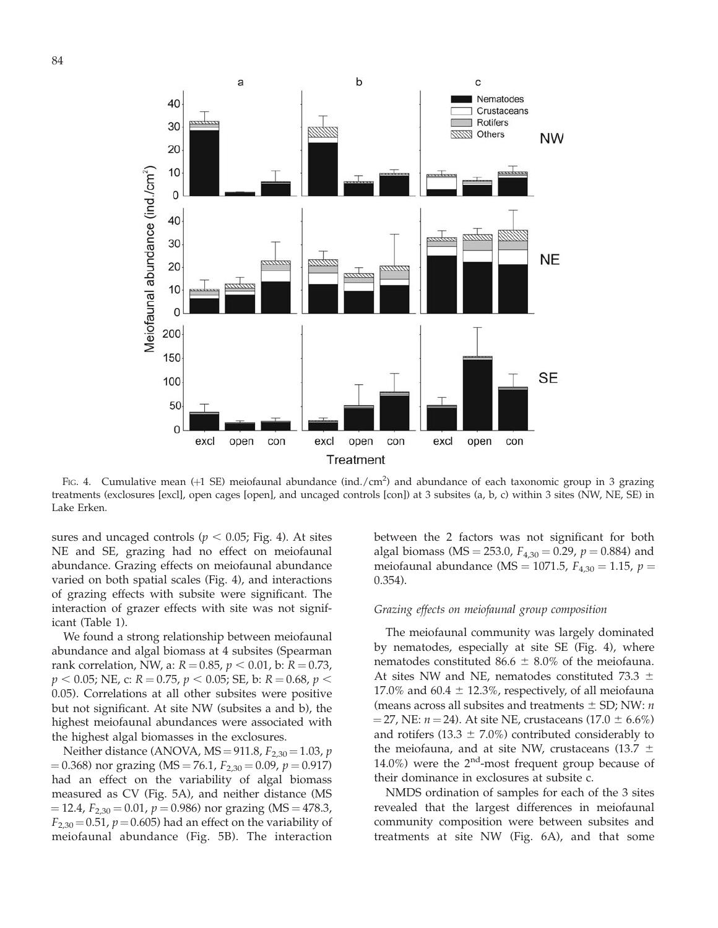

FIG. 4. Cumulative mean  $(+1$  SE) meiofaunal abundance (ind./cm<sup>2</sup>) and abundance of each taxonomic group in 3 grazing treatments (exclosures [excl], open cages [open], and uncaged controls [con]) at 3 subsites (a, b, c) within 3 sites (NW, NE, SE) in Lake Erken.

sures and uncaged controls ( $p < 0.05$ ; Fig. 4). At sites NE and SE, grazing had no effect on meiofaunal abundance. Grazing effects on meiofaunal abundance varied on both spatial scales (Fig. 4), and interactions of grazing effects with subsite were significant. The interaction of grazer effects with site was not significant (Table 1).

We found a strong relationship between meiofaunal abundance and algal biomass at 4 subsites (Spearman rank correlation, NW, a:  $R = 0.85$ ,  $p < 0.01$ , b:  $R = 0.73$ ,  $p < 0.05$ ; NE, c: R = 0.75,  $p < 0.05$ ; SE, b: R = 0.68,  $p <$ 0.05). Correlations at all other subsites were positive but not significant. At site NW (subsites a and b), the highest meiofaunal abundances were associated with the highest algal biomasses in the exclosures.

Neither distance (ANOVA,  $MS = 911.8$ ,  $F_{2,30} = 1.03$ , p.  $( 0.368)$  nor grazing (MS = 76.1,  $F_{2,30} = 0.09$ ,  $p = 0.917$ ) had an effect on the variability of algal biomass measured as CV (Fig. 5A), and neither distance (MS  $=$  12.4,  $F_{2,30}$  = 0.01,  $p$  = 0.986) nor grazing (MS = 478.3,  $F_{2,30}$  = 0.51,  $p$  = 0.605) had an effect on the variability of meiofaunal abundance (Fig. 5B). The interaction between the 2 factors was not significant for both algal biomass (MS = 253.0,  $F_{4,30} = 0.29$ ,  $p = 0.884$ ) and meiofaunal abundance (MS = 1071.5,  $F_{4,30} = 1.15$ ,  $p =$ 0.354).

#### Grazing effects on meiofaunal group composition

The meiofaunal community was largely dominated by nematodes, especially at site SE (Fig. 4), where nematodes constituted 86.6  $\pm$  8.0% of the meiofauna. At sites NW and NE, nematodes constituted 73.3  $\pm$ 17.0% and 60.4  $\pm$  12.3%, respectively, of all meiofauna (means across all subsites and treatments  $\pm$  SD; NW: *n*  $=$  27, NE:  $n = 24$ ). At site NE, crustaceans (17.0  $\pm$  6.6%) and rotifers (13.3  $\pm$  7.0%) contributed considerably to the meiofauna, and at site NW, crustaceans (13.7  $\pm$ 14.0%) were the  $2<sup>nd</sup>$ -most frequent group because of their dominance in exclosures at subsite c.

NMDS ordination of samples for each of the 3 sites revealed that the largest differences in meiofaunal community composition were between subsites and treatments at site NW (Fig. 6A), and that some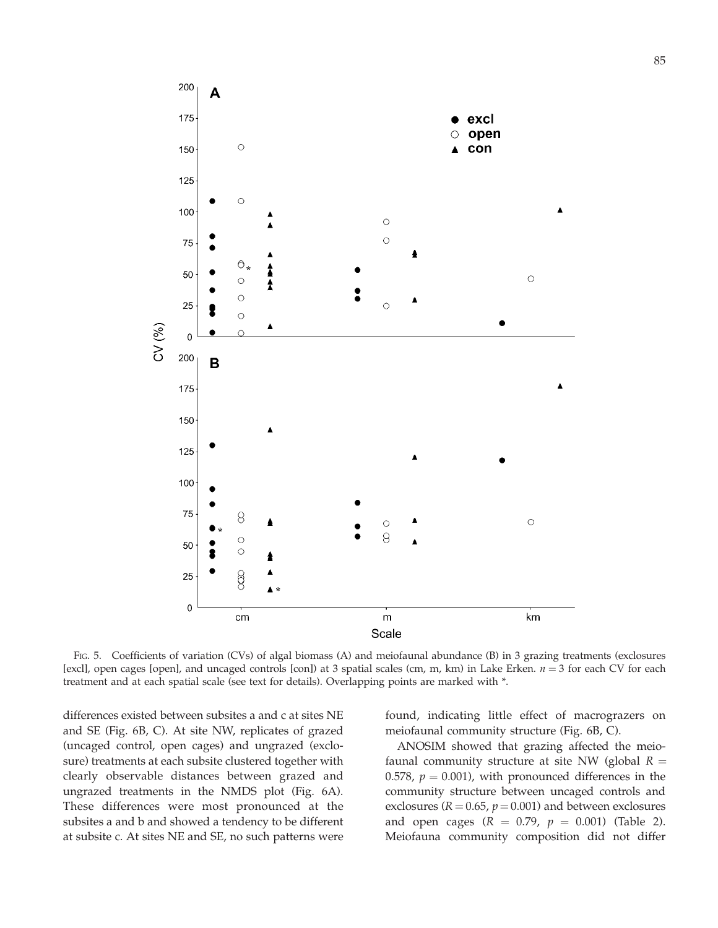

FIG. 5. Coefficients of variation (CVs) of algal biomass (A) and meiofaunal abundance (B) in 3 grazing treatments (exclosures [excl], open cages [open], and uncaged controls [con]) at 3 spatial scales (cm, m, km) in Lake Erken.  $n = 3$  for each CV for each treatment and at each spatial scale (see text for details). Overlapping points are marked with \*.

differences existed between subsites a and c at sites NE and SE (Fig. 6B, C). At site NW, replicates of grazed (uncaged control, open cages) and ungrazed (exclosure) treatments at each subsite clustered together with clearly observable distances between grazed and ungrazed treatments in the NMDS plot (Fig. 6A). These differences were most pronounced at the subsites a and b and showed a tendency to be different at subsite c. At sites NE and SE, no such patterns were found, indicating little effect of macrograzers on meiofaunal community structure (Fig. 6B, C).

ANOSIM showed that grazing affected the meiofaunal community structure at site NW (global  $R =$ 0.578,  $p = 0.001$ ), with pronounced differences in the community structure between uncaged controls and exclosures ( $R = 0.65$ ,  $p = 0.001$ ) and between exclosures and open cages ( $R = 0.79$ ,  $p = 0.001$ ) (Table 2). Meiofauna community composition did not differ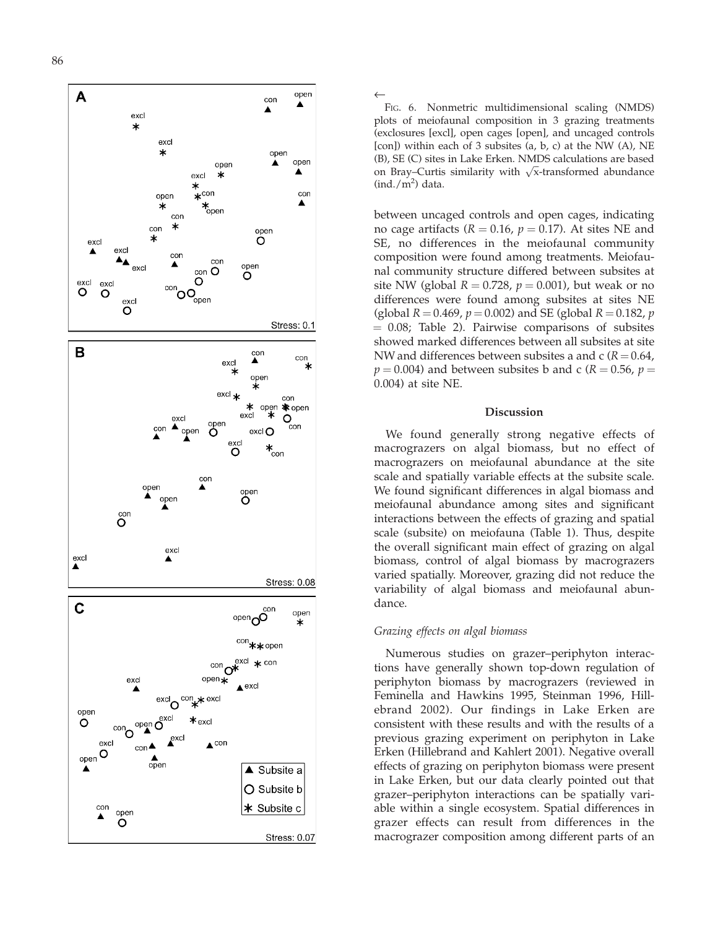

plots of meiofaunal composition in 3 grazing treatments (exclosures [excl], open cages [open], and uncaged controls [con]) within each of 3 subsites (a, b, c) at the NW (A), NE (B), SE (C) sites in Lake Erken. NMDS calculations are based on Bray–Curtis similarity with  $\sqrt{x}$ -transformed abundance  $(\text{ind.}/\text{m}^2)$  data.

between uncaged controls and open cages, indicating no cage artifacts ( $R = 0.16$ ,  $p = 0.17$ ). At sites NE and SE, no differences in the meiofaunal community composition were found among treatments. Meiofaunal community structure differed between subsites at site NW (global  $R = 0.728$ ,  $p = 0.001$ ), but weak or no differences were found among subsites at sites NE (global  $R = 0.469$ ,  $p = 0.002$ ) and SE (global  $R = 0.182$ ,  $p$  $= 0.08$ ; Table 2). Pairwise comparisons of subsites showed marked differences between all subsites at site NW and differences between subsites a and c ( $R\!=\!0.64$ ,  $p = 0.004$ ) and between subsites b and c ( $R = 0.56$ ,  $p =$ 0.004) at site NE.

#### Discussion

We found generally strong negative effects of macrograzers on algal biomass, but no effect of macrograzers on meiofaunal abundance at the site scale and spatially variable effects at the subsite scale. We found significant differences in algal biomass and meiofaunal abundance among sites and significant interactions between the effects of grazing and spatial scale (subsite) on meiofauna (Table 1). Thus, despite the overall significant main effect of grazing on algal biomass, control of algal biomass by macrograzers varied spatially. Moreover, grazing did not reduce the variability of algal biomass and meiofaunal abundance.

### Grazing effects on algal biomass

Numerous studies on grazer–periphyton interactions have generally shown top-down regulation of periphyton biomass by macrograzers (reviewed in Feminella and Hawkins 1995, Steinman 1996, Hillebrand 2002). Our findings in Lake Erken are consistent with these results and with the results of a previous grazing experiment on periphyton in Lake Erken (Hillebrand and Kahlert 2001). Negative overall effects of grazing on periphyton biomass were present in Lake Erken, but our data clearly pointed out that grazer–periphyton interactions can be spatially variable within a single ecosystem. Spatial differences in grazer effects can result from differences in the Fig. 6. Nonmetric multidimensional scaling (NMDS)<br>bost of meiofarmal composition in 3 grazing treatmentshear (condowns is even), and uneaged controls<br>(exclosures [excl.], open cages [open], and uneaged controls<br>(B), SE (C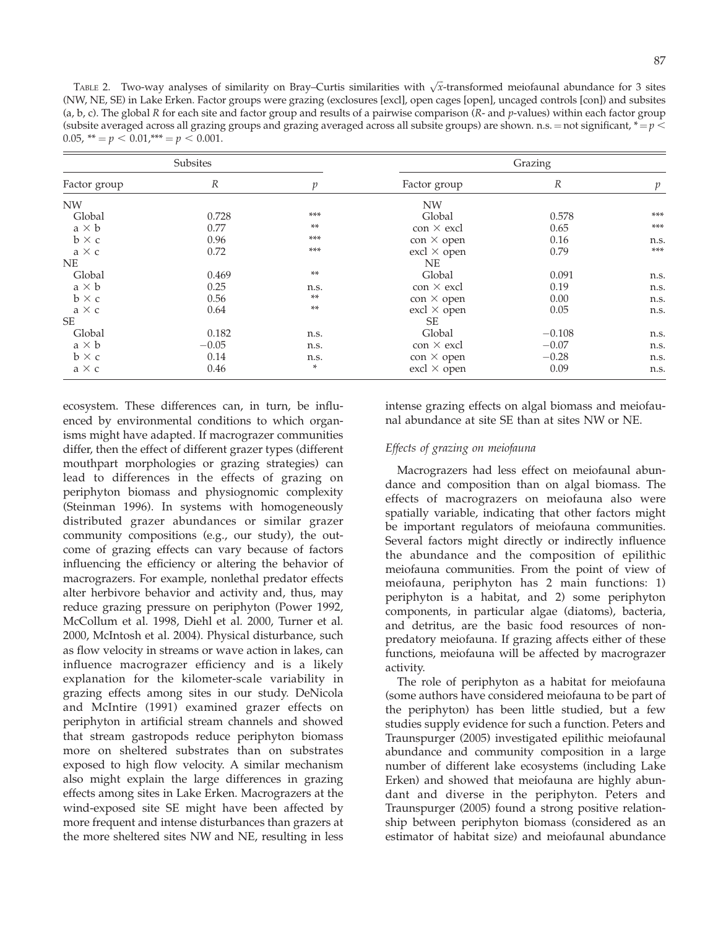TABLE 2. Two-way analyses of similarity on Bray–Curtis similarities with  $\sqrt{x}$ -transformed meiofaunal abundance for 3 sites (NW, NE, SE) in Lake Erken. Factor groups were grazing (exclosures [excl], open cages [open], uncaged controls [con]) and subsites (a, b, c). The global R for each site and factor group and results of a pairwise comparison (R- and p-values) within each factor group (subsite averaged across all grazing groups and grazing averaged across all subsite groups) are shown. n.s.  $=$  not significant,  $* = p$ 0.05, \*\*  $= p < 0.01$ , \*\*\*  $= p < 0.001$ .

|              | Subsites         |       | Grazing                   |                  |       |  |  |
|--------------|------------------|-------|---------------------------|------------------|-------|--|--|
| Factor group | $\boldsymbol{R}$ | n     | Factor group              | $\boldsymbol{R}$ | p     |  |  |
| <b>NW</b>    |                  |       | <b>NW</b>                 |                  |       |  |  |
| Global       | 0.728            | ***   | Global                    | 0.578            | ***   |  |  |
| $a \times b$ | 0.77             | **    | $\cos \times \text{excl}$ | 0.65             | ***   |  |  |
| $b \times c$ | 0.96             | ***   | $con \times open$         | 0.16             | n.s.  |  |  |
| $a \times c$ | 0.72             | ***   | $excl \times open$        | 0.79             | $***$ |  |  |
| NE.          |                  |       | <b>NE</b>                 |                  |       |  |  |
| Global       | 0.469            | $**$  | Global                    | 0.091            | n.s.  |  |  |
| $a \times b$ | 0.25             | n.s.  | $\cos \times \text{excl}$ | 0.19             | n.s.  |  |  |
| $b \times c$ | 0.56             | **    | $con \times open$         | 0.00             | n.s.  |  |  |
| $a \times c$ | 0.64             | $***$ | $excl \times open$        | 0.05             | n.s.  |  |  |
| SE           |                  |       | SE                        |                  |       |  |  |
| Global       | 0.182            | n.s.  | Global                    | $-0.108$         | n.s.  |  |  |
| $a \times b$ | $-0.05$          | n.s.  | $\cos \times \text{excl}$ | $-0.07$          | n.s.  |  |  |
| $b \times c$ | 0.14             | n.s.  | $con \times open$         | $-0.28$          | n.s.  |  |  |
| $a \times c$ | 0.46             | *     | $excl \times open$        | 0.09             | n.s.  |  |  |

ecosystem. These differences can, in turn, be influenced by environmental conditions to which organisms might have adapted. If macrograzer communities differ, then the effect of different grazer types (different mouthpart morphologies or grazing strategies) can lead to differences in the effects of grazing on periphyton biomass and physiognomic complexity (Steinman 1996). In systems with homogeneously distributed grazer abundances or similar grazer community compositions (e.g., our study), the outcome of grazing effects can vary because of factors influencing the efficiency or altering the behavior of macrograzers. For example, nonlethal predator effects alter herbivore behavior and activity and, thus, may reduce grazing pressure on periphyton (Power 1992, McCollum et al. 1998, Diehl et al. 2000, Turner et al. 2000, McIntosh et al. 2004). Physical disturbance, such as flow velocity in streams or wave action in lakes, can influence macrograzer efficiency and is a likely explanation for the kilometer-scale variability in grazing effects among sites in our study. DeNicola and McIntire (1991) examined grazer effects on periphyton in artificial stream channels and showed that stream gastropods reduce periphyton biomass more on sheltered substrates than on substrates exposed to high flow velocity. A similar mechanism also might explain the large differences in grazing effects among sites in Lake Erken. Macrograzers at the wind-exposed site SE might have been affected by more frequent and intense disturbances than grazers at the more sheltered sites NW and NE, resulting in less intense grazing effects on algal biomass and meiofaunal abundance at site SE than at sites NW or NE.

## Effects of grazing on meiofauna

Macrograzers had less effect on meiofaunal abundance and composition than on algal biomass. The effects of macrograzers on meiofauna also were spatially variable, indicating that other factors might be important regulators of meiofauna communities. Several factors might directly or indirectly influence the abundance and the composition of epilithic meiofauna communities. From the point of view of meiofauna, periphyton has 2 main functions: 1) periphyton is a habitat, and 2) some periphyton components, in particular algae (diatoms), bacteria, and detritus, are the basic food resources of nonpredatory meiofauna. If grazing affects either of these functions, meiofauna will be affected by macrograzer activity.

The role of periphyton as a habitat for meiofauna (some authors have considered meiofauna to be part of the periphyton) has been little studied, but a few studies supply evidence for such a function. Peters and Traunspurger (2005) investigated epilithic meiofaunal abundance and community composition in a large number of different lake ecosystems (including Lake Erken) and showed that meiofauna are highly abundant and diverse in the periphyton. Peters and Traunspurger (2005) found a strong positive relationship between periphyton biomass (considered as an estimator of habitat size) and meiofaunal abundance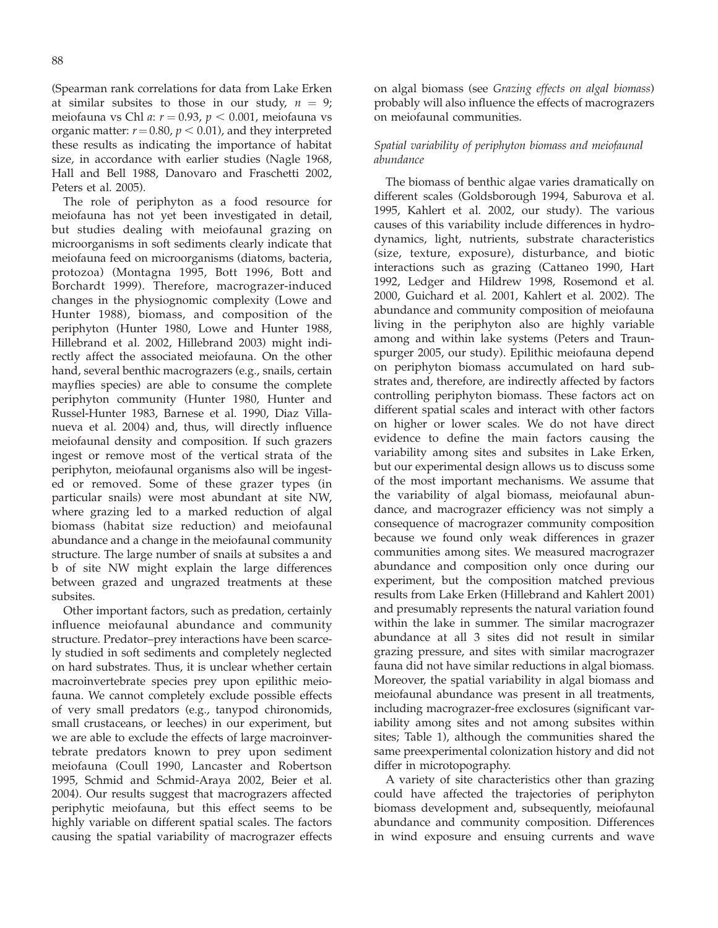(Spearman rank correlations for data from Lake Erken at similar subsites to those in our study,  $n = 9$ ; meiofauna vs Chl a:  $r = 0.93$ ,  $p < 0.001$ , meiofauna vs organic matter:  $r = 0.80$ ,  $p < 0.01$ ), and they interpreted these results as indicating the importance of habitat size, in accordance with earlier studies (Nagle 1968, Hall and Bell 1988, Danovaro and Fraschetti 2002, Peters et al. 2005).

The role of periphyton as a food resource for meiofauna has not yet been investigated in detail, but studies dealing with meiofaunal grazing on microorganisms in soft sediments clearly indicate that meiofauna feed on microorganisms (diatoms, bacteria, protozoa) (Montagna 1995, Bott 1996, Bott and Borchardt 1999). Therefore, macrograzer-induced changes in the physiognomic complexity (Lowe and Hunter 1988), biomass, and composition of the periphyton (Hunter 1980, Lowe and Hunter 1988, Hillebrand et al. 2002, Hillebrand 2003) might indirectly affect the associated meiofauna. On the other hand, several benthic macrograzers (e.g., snails, certain mayflies species) are able to consume the complete periphyton community (Hunter 1980, Hunter and Russel-Hunter 1983, Barnese et al. 1990, Diaz Villanueva et al. 2004) and, thus, will directly influence meiofaunal density and composition. If such grazers ingest or remove most of the vertical strata of the periphyton, meiofaunal organisms also will be ingested or removed. Some of these grazer types (in particular snails) were most abundant at site NW, where grazing led to a marked reduction of algal biomass (habitat size reduction) and meiofaunal abundance and a change in the meiofaunal community structure. The large number of snails at subsites a and b of site NW might explain the large differences between grazed and ungrazed treatments at these subsites.

Other important factors, such as predation, certainly influence meiofaunal abundance and community structure. Predator–prey interactions have been scarcely studied in soft sediments and completely neglected on hard substrates. Thus, it is unclear whether certain macroinvertebrate species prey upon epilithic meiofauna. We cannot completely exclude possible effects of very small predators (e.g., tanypod chironomids, small crustaceans, or leeches) in our experiment, but we are able to exclude the effects of large macroinvertebrate predators known to prey upon sediment meiofauna (Coull 1990, Lancaster and Robertson 1995, Schmid and Schmid-Araya 2002, Beier et al. 2004). Our results suggest that macrograzers affected periphytic meiofauna, but this effect seems to be highly variable on different spatial scales. The factors causing the spatial variability of macrograzer effects on algal biomass (see Grazing effects on algal biomass) probably will also influence the effects of macrograzers on meiofaunal communities.

## Spatial variability of periphyton biomass and meiofaunal abundance

The biomass of benthic algae varies dramatically on different scales (Goldsborough 1994, Saburova et al. 1995, Kahlert et al. 2002, our study). The various causes of this variability include differences in hydrodynamics, light, nutrients, substrate characteristics (size, texture, exposure), disturbance, and biotic interactions such as grazing (Cattaneo 1990, Hart 1992, Ledger and Hildrew 1998, Rosemond et al. 2000, Guichard et al. 2001, Kahlert et al. 2002). The abundance and community composition of meiofauna living in the periphyton also are highly variable among and within lake systems (Peters and Traunspurger 2005, our study). Epilithic meiofauna depend on periphyton biomass accumulated on hard substrates and, therefore, are indirectly affected by factors controlling periphyton biomass. These factors act on different spatial scales and interact with other factors on higher or lower scales. We do not have direct evidence to define the main factors causing the variability among sites and subsites in Lake Erken, but our experimental design allows us to discuss some of the most important mechanisms. We assume that the variability of algal biomass, meiofaunal abundance, and macrograzer efficiency was not simply a consequence of macrograzer community composition because we found only weak differences in grazer communities among sites. We measured macrograzer abundance and composition only once during our experiment, but the composition matched previous results from Lake Erken (Hillebrand and Kahlert 2001) and presumably represents the natural variation found within the lake in summer. The similar macrograzer abundance at all 3 sites did not result in similar grazing pressure, and sites with similar macrograzer fauna did not have similar reductions in algal biomass. Moreover, the spatial variability in algal biomass and meiofaunal abundance was present in all treatments, including macrograzer-free exclosures (significant variability among sites and not among subsites within sites; Table 1), although the communities shared the same preexperimental colonization history and did not differ in microtopography.

A variety of site characteristics other than grazing could have affected the trajectories of periphyton biomass development and, subsequently, meiofaunal abundance and community composition. Differences in wind exposure and ensuing currents and wave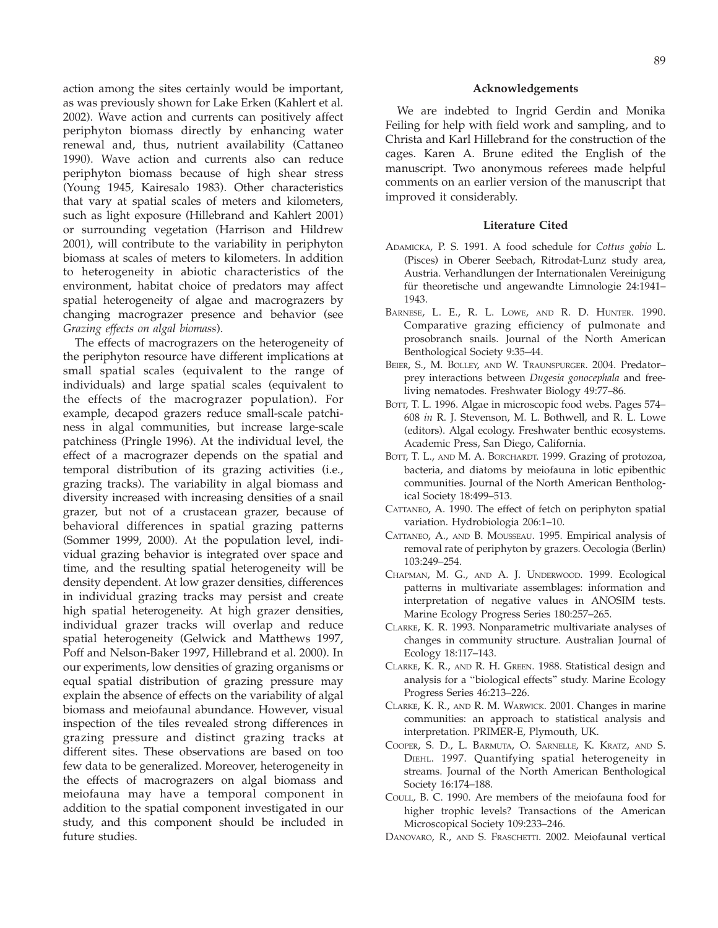action among the sites certainly would be important, as was previously shown for Lake Erken (Kahlert et al. 2002). Wave action and currents can positively affect periphyton biomass directly by enhancing water renewal and, thus, nutrient availability (Cattaneo 1990). Wave action and currents also can reduce periphyton biomass because of high shear stress (Young 1945, Kairesalo 1983). Other characteristics that vary at spatial scales of meters and kilometers, such as light exposure (Hillebrand and Kahlert 2001) or surrounding vegetation (Harrison and Hildrew 2001), will contribute to the variability in periphyton biomass at scales of meters to kilometers. In addition to heterogeneity in abiotic characteristics of the environment, habitat choice of predators may affect spatial heterogeneity of algae and macrograzers by changing macrograzer presence and behavior (see Grazing effects on algal biomass).

The effects of macrograzers on the heterogeneity of the periphyton resource have different implications at small spatial scales (equivalent to the range of individuals) and large spatial scales (equivalent to the effects of the macrograzer population). For example, decapod grazers reduce small-scale patchiness in algal communities, but increase large-scale patchiness (Pringle 1996). At the individual level, the effect of a macrograzer depends on the spatial and temporal distribution of its grazing activities (i.e., grazing tracks). The variability in algal biomass and diversity increased with increasing densities of a snail grazer, but not of a crustacean grazer, because of behavioral differences in spatial grazing patterns (Sommer 1999, 2000). At the population level, individual grazing behavior is integrated over space and time, and the resulting spatial heterogeneity will be density dependent. At low grazer densities, differences in individual grazing tracks may persist and create high spatial heterogeneity. At high grazer densities, individual grazer tracks will overlap and reduce spatial heterogeneity (Gelwick and Matthews 1997, Poff and Nelson-Baker 1997, Hillebrand et al. 2000). In our experiments, low densities of grazing organisms or equal spatial distribution of grazing pressure may explain the absence of effects on the variability of algal biomass and meiofaunal abundance. However, visual inspection of the tiles revealed strong differences in grazing pressure and distinct grazing tracks at different sites. These observations are based on too few data to be generalized. Moreover, heterogeneity in the effects of macrograzers on algal biomass and meiofauna may have a temporal component in addition to the spatial component investigated in our study, and this component should be included in future studies.

#### Acknowledgements

We are indebted to Ingrid Gerdin and Monika Feiling for help with field work and sampling, and to Christa and Karl Hillebrand for the construction of the cages. Karen A. Brune edited the English of the manuscript. Two anonymous referees made helpful comments on an earlier version of the manuscript that improved it considerably.

#### Literature Cited

- ADAMICKA, P. S. 1991. A food schedule for Cottus gobio L. (Pisces) in Oberer Seebach, Ritrodat-Lunz study area, Austria. Verhandlungen der Internationalen Vereinigung für theoretische und angewandte Limnologie 24:1941– 1943.
- BARNESE, L. E., R. L. LOWE, AND R. D. HUNTER. 1990. Comparative grazing efficiency of pulmonate and prosobranch snails. Journal of the North American Benthological Society 9:35–44.
- BEIER, S., M. BOLLEY, AND W. TRAUNSPURGER. 2004. Predatorprey interactions between Dugesia gonocephala and freeliving nematodes. Freshwater Biology 49:77–86.
- BOTT, T. L. 1996. Algae in microscopic food webs. Pages 574– 608 in R. J. Stevenson, M. L. Bothwell, and R. L. Lowe (editors). Algal ecology. Freshwater benthic ecosystems. Academic Press, San Diego, California.
- BOTT, T. L., AND M. A. BORCHARDT. 1999. Grazing of protozoa, bacteria, and diatoms by meiofauna in lotic epibenthic communities. Journal of the North American Benthological Society 18:499–513.
- CATTANEO, A. 1990. The effect of fetch on periphyton spatial variation. Hydrobiologia 206:1–10.
- CATTANEO, A., AND B. MOUSSEAU. 1995. Empirical analysis of removal rate of periphyton by grazers. Oecologia (Berlin) 103:249–254.
- CHAPMAN, M. G., AND A. J. UNDERWOOD. 1999. Ecological patterns in multivariate assemblages: information and interpretation of negative values in ANOSIM tests. Marine Ecology Progress Series 180:257–265.
- CLARKE, K. R. 1993. Nonparametric multivariate analyses of changes in community structure. Australian Journal of Ecology 18:117–143.
- CLARKE, K. R., AND R. H. GREEN. 1988. Statistical design and analysis for a ''biological effects'' study. Marine Ecology Progress Series 46:213–226.
- CLARKE, K. R., AND R. M. WARWICK. 2001. Changes in marine communities: an approach to statistical analysis and interpretation. PRIMER-E, Plymouth, UK.
- COOPER, S. D., L. BARMUTA, O. SARNELLE, K. KRATZ, AND S. DIEHL. 1997. Quantifying spatial heterogeneity in streams. Journal of the North American Benthological Society 16:174–188.
- COULL, B. C. 1990. Are members of the meiofauna food for higher trophic levels? Transactions of the American Microscopical Society 109:233–246.
- DANOVARO, R., AND S. FRASCHETTI. 2002. Meiofaunal vertical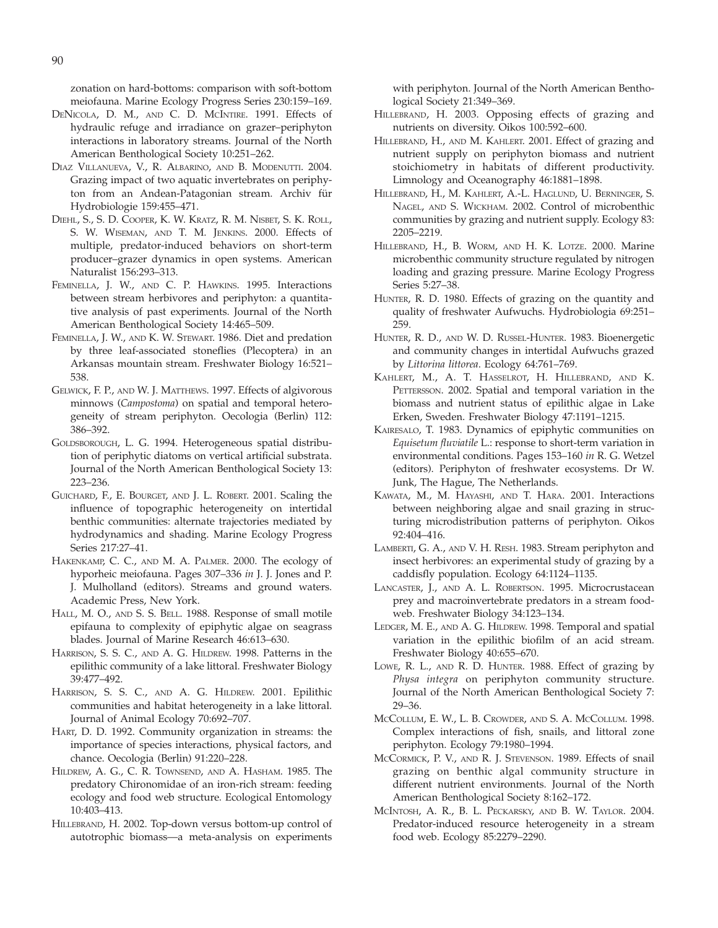zonation on hard-bottoms: comparison with soft-bottom meiofauna. Marine Ecology Progress Series 230:159–169.

- DENICOLA, D. M., AND C. D. MCINTIRE. 1991. Effects of hydraulic refuge and irradiance on grazer–periphyton interactions in laboratory streams. Journal of the North American Benthological Society 10:251–262.
- DIAZ VILLANUEVA, V., R. ALBARINO, AND B. MODENUTTI. 2004. Grazing impact of two aquatic invertebrates on periphyton from an Andean-Patagonian stream. Archiv für Hydrobiologie 159:455–471.
- DIEHL, S., S. D. COOPER, K. W. KRATZ, R. M. NISBET, S. K. ROLL, S. W. WISEMAN, AND T. M. JENKINS. 2000. Effects of multiple, predator-induced behaviors on short-term producer–grazer dynamics in open systems. American Naturalist 156:293–313.
- FEMINELLA, J. W., AND C. P. HAWKINS. 1995. Interactions between stream herbivores and periphyton: a quantitative analysis of past experiments. Journal of the North American Benthological Society 14:465–509.
- FEMINELLA, J. W., AND K. W. STEWART. 1986. Diet and predation by three leaf-associated stoneflies (Plecoptera) in an Arkansas mountain stream. Freshwater Biology 16:521– 538.
- GELWICK, F. P., AND W. J. MATTHEWS. 1997. Effects of algivorous minnows (Campostoma) on spatial and temporal heterogeneity of stream periphyton. Oecologia (Berlin) 112: 386–392.
- GOLDSBOROUGH, L. G. 1994. Heterogeneous spatial distribution of periphytic diatoms on vertical artificial substrata. Journal of the North American Benthological Society 13: 223–236.
- GUICHARD, F., E. BOURGET, AND J. L. ROBERT. 2001. Scaling the influence of topographic heterogeneity on intertidal benthic communities: alternate trajectories mediated by hydrodynamics and shading. Marine Ecology Progress Series 217:27–41.
- HAKENKAMP, C. C., AND M. A. PALMER. 2000. The ecology of hyporheic meiofauna. Pages 307–336 in J. J. Jones and P. J. Mulholland (editors). Streams and ground waters. Academic Press, New York.
- HALL, M. O., AND S. S. BELL. 1988. Response of small motile epifauna to complexity of epiphytic algae on seagrass blades. Journal of Marine Research 46:613–630.
- HARRISON, S. S. C., AND A. G. HILDREW. 1998. Patterns in the epilithic community of a lake littoral. Freshwater Biology 39:477–492.
- HARRISON, S. S. C., AND A. G. HILDREW. 2001. Epilithic communities and habitat heterogeneity in a lake littoral. Journal of Animal Ecology 70:692–707.
- HART, D. D. 1992. Community organization in streams: the importance of species interactions, physical factors, and chance. Oecologia (Berlin) 91:220–228.
- HILDREW, A. G., C. R. TOWNSEND, AND A. HASHAM. 1985. The predatory Chironomidae of an iron-rich stream: feeding ecology and food web structure. Ecological Entomology 10:403–413.
- HILLEBRAND, H. 2002. Top-down versus bottom-up control of autotrophic biomass—a meta-analysis on experiments

with periphyton. Journal of the North American Benthological Society 21:349–369.

- HILLEBRAND, H. 2003. Opposing effects of grazing and nutrients on diversity. Oikos 100:592–600.
- HILLEBRAND, H., AND M. KAHLERT. 2001. Effect of grazing and nutrient supply on periphyton biomass and nutrient stoichiometry in habitats of different productivity. Limnology and Oceanography 46:1881–1898.
- HILLEBRAND, H., M. KAHLERT, A.-L. HAGLUND, U. BERNINGER, S. NAGEL, AND S. WICKHAM. 2002. Control of microbenthic communities by grazing and nutrient supply. Ecology 83: 2205–2219.
- HILLEBRAND, H., B. WORM, AND H. K. LOTZE. 2000. Marine microbenthic community structure regulated by nitrogen loading and grazing pressure. Marine Ecology Progress Series 5:27–38.
- HUNTER, R. D. 1980. Effects of grazing on the quantity and quality of freshwater Aufwuchs. Hydrobiologia 69:251– 259.
- HUNTER, R. D., AND W. D. RUSSEL-HUNTER. 1983. Bioenergetic and community changes in intertidal Aufwuchs grazed by Littorina littorea. Ecology 64:761–769.
- KAHLERT, M., A. T. HASSELROT, H. HILLEBRAND, AND K. PETTERSSON. 2002. Spatial and temporal variation in the biomass and nutrient status of epilithic algae in Lake Erken, Sweden. Freshwater Biology 47:1191–1215.
- KAIRESALO, T. 1983. Dynamics of epiphytic communities on Equisetum fluviatile L.: response to short-term variation in environmental conditions. Pages 153–160 in R. G. Wetzel (editors). Periphyton of freshwater ecosystems. Dr W. Junk, The Hague, The Netherlands.
- KAWATA, M., M. HAYASHI, AND T. HARA. 2001. Interactions between neighboring algae and snail grazing in structuring microdistribution patterns of periphyton. Oikos 92:404–416.
- LAMBERTI, G. A., AND V. H. RESH. 1983. Stream periphyton and insect herbivores: an experimental study of grazing by a caddisfly population. Ecology 64:1124–1135.
- LANCASTER, J., AND A. L. ROBERTSON. 1995. Microcrustacean prey and macroinvertebrate predators in a stream foodweb. Freshwater Biology 34:123–134.
- LEDGER, M. E., AND A. G. HILDREW. 1998. Temporal and spatial variation in the epilithic biofilm of an acid stream. Freshwater Biology 40:655–670.
- LOWE, R. L., AND R. D. HUNTER. 1988. Effect of grazing by Physa integra on periphyton community structure. Journal of the North American Benthological Society 7: 29–36.
- MCCOLLUM, E. W., L. B. CROWDER, AND S. A. MCCOLLUM. 1998. Complex interactions of fish, snails, and littoral zone periphyton. Ecology 79:1980–1994.
- MCCORMICK, P. V., AND R. J. STEVENSON. 1989. Effects of snail grazing on benthic algal community structure in different nutrient environments. Journal of the North American Benthological Society 8:162–172.
- MCINTOSH, A. R., B. L. PECKARSKY, AND B. W. TAYLOR. 2004. Predator-induced resource heterogeneity in a stream food web. Ecology 85:2279–2290.